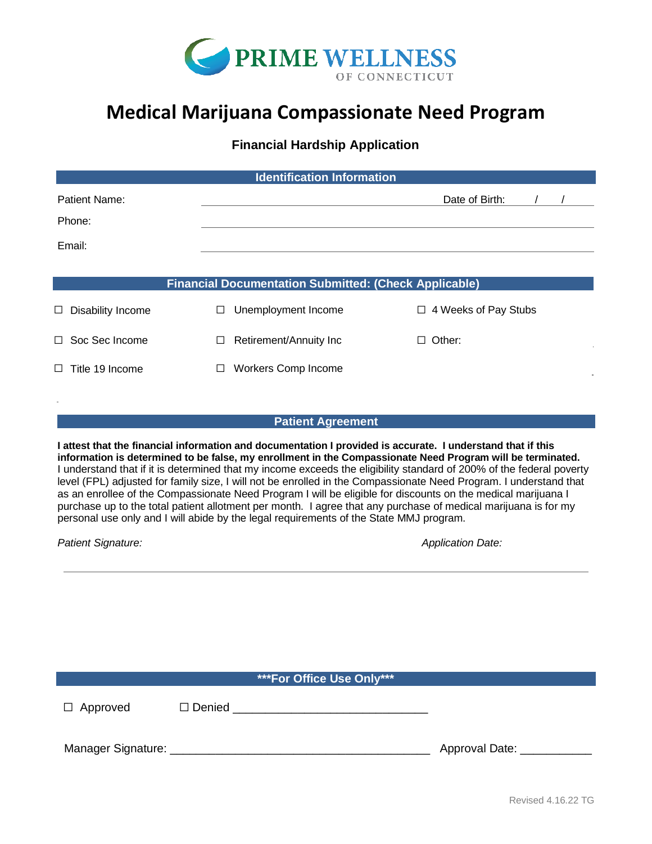

# **Medical Marijuana Compassionate Need Program**

# **Financial Hardship Application**

| <b>Identification Information</b>                                                                                                                                                                                                                                                                                                                                                                                                                                                                                                                                                                                                                                                                                                                                                                  |         |                            |                             |  |  |
|----------------------------------------------------------------------------------------------------------------------------------------------------------------------------------------------------------------------------------------------------------------------------------------------------------------------------------------------------------------------------------------------------------------------------------------------------------------------------------------------------------------------------------------------------------------------------------------------------------------------------------------------------------------------------------------------------------------------------------------------------------------------------------------------------|---------|----------------------------|-----------------------------|--|--|
| Patient Name:                                                                                                                                                                                                                                                                                                                                                                                                                                                                                                                                                                                                                                                                                                                                                                                      |         |                            | Date of Birth:              |  |  |
| Phone:                                                                                                                                                                                                                                                                                                                                                                                                                                                                                                                                                                                                                                                                                                                                                                                             |         |                            |                             |  |  |
| Email:                                                                                                                                                                                                                                                                                                                                                                                                                                                                                                                                                                                                                                                                                                                                                                                             |         |                            |                             |  |  |
|                                                                                                                                                                                                                                                                                                                                                                                                                                                                                                                                                                                                                                                                                                                                                                                                    |         |                            |                             |  |  |
| <b>Financial Documentation Submitted: (Check Applicable)</b>                                                                                                                                                                                                                                                                                                                                                                                                                                                                                                                                                                                                                                                                                                                                       |         |                            |                             |  |  |
| $\Box$ Disability Income                                                                                                                                                                                                                                                                                                                                                                                                                                                                                                                                                                                                                                                                                                                                                                           | $\perp$ | Unemployment Income        | $\Box$ 4 Weeks of Pay Stubs |  |  |
| □ Soc Sec Income                                                                                                                                                                                                                                                                                                                                                                                                                                                                                                                                                                                                                                                                                                                                                                                   | ⊔       | Retirement/Annuity Inc     | $\Box$ Other:               |  |  |
| $\Box$ Title 19 Income                                                                                                                                                                                                                                                                                                                                                                                                                                                                                                                                                                                                                                                                                                                                                                             | $\Box$  | <b>Workers Comp Income</b> |                             |  |  |
|                                                                                                                                                                                                                                                                                                                                                                                                                                                                                                                                                                                                                                                                                                                                                                                                    |         |                            |                             |  |  |
| <b>Patient Agreement</b>                                                                                                                                                                                                                                                                                                                                                                                                                                                                                                                                                                                                                                                                                                                                                                           |         |                            |                             |  |  |
| I attest that the financial information and documentation I provided is accurate. I understand that if this<br>information is determined to be false, my enrollment in the Compassionate Need Program will be terminated.<br>I understand that if it is determined that my income exceeds the eligibility standard of 200% of the federal poverty<br>level (FPL) adjusted for family size, I will not be enrolled in the Compassionate Need Program. I understand that<br>as an enrollee of the Compassionate Need Program I will be eligible for discounts on the medical marijuana I<br>purchase up to the total patient allotment per month. I agree that any purchase of medical marijuana is for my<br>personal use only and I will abide by the legal requirements of the State MMJ program. |         |                            |                             |  |  |
| Patient Signature:                                                                                                                                                                                                                                                                                                                                                                                                                                                                                                                                                                                                                                                                                                                                                                                 |         |                            | <b>Application Date:</b>    |  |  |
|                                                                                                                                                                                                                                                                                                                                                                                                                                                                                                                                                                                                                                                                                                                                                                                                    |         |                            |                             |  |  |

**\*\*\*For Office Use Only\*\*\***

☐ Approved ☐ Denied \_\_\_\_\_\_\_\_\_\_\_\_\_\_\_\_\_\_\_\_\_\_\_\_\_\_\_\_\_\_

Manager Signature: \_\_\_\_\_\_\_\_\_\_\_\_\_\_\_\_\_\_\_\_\_\_\_\_\_\_\_\_\_\_\_\_\_\_\_\_\_\_\_\_ Approval Date: \_\_\_\_\_\_\_\_\_\_\_